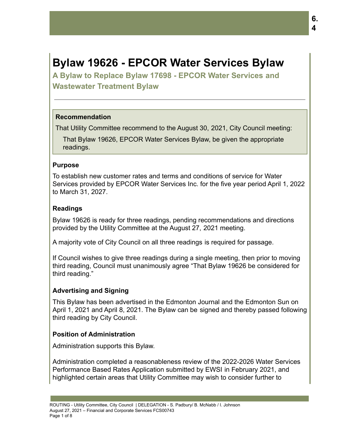# **Bylaw 19626 - EPCOR Water Services Bylaw**

**A Bylaw to Replace Bylaw 17698 - EPCOR Water Services and Wastewater Treatment Bylaw**

#### **Recommendation**

That Utility Committee recommend to the August 30, 2021, City Council meeting:

That Bylaw 19626, EPCOR Water Services Bylaw, be given the appropriate readings.

#### **Purpose**

To establish new customer rates and terms and conditions of service for Water Services provided by EPCOR Water Services Inc. for the five year period April 1, 2022 to March 31, 2027.

#### **Readings**

Bylaw 19626 is ready for three readings, pending recommendations and directions provided by the Utility Committee at the August 27, 2021 meeting.

A majority vote of City Council on all three readings is required for passage.

If Council wishes to give three readings during a single meeting, then prior to moving third reading, Council must unanimously agree "That Bylaw 19626 be considered for third reading."

#### **Advertising and Signing**

This Bylaw has been advertised in the Edmonton Journal and the Edmonton Sun on April 1, 2021 and April 8, 2021. The Bylaw can be signed and thereby passed following third reading by City Council.

#### **Position of Administration**

Administration supports this Bylaw.

Administration completed a reasonableness review of the 2022-2026 Water Services Performance Based Rates Application submitted by EWSI in February 2021, and highlighted certain areas that Utility Committee may wish to consider further to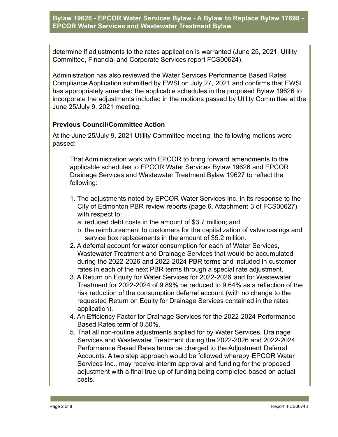determine if adjustments to the rates application is warranted (June 25, 2021, Utility Committee, Financial and Corporate Services report FCS00624).

Administration has also reviewed the Water Services Performance Based Rates Compliance Application submitted by EWSI on July 27, 2021 and confirms that EWSI has appropriately amended the applicable schedules in the proposed Bylaw 19626 to incorporate the adjustments included in the motions passed by Utility Committee at the June 25/July 9, 2021 meeting.

## **Previous Council/Committee Action**

At the June 25/July 9, 2021 Utility Committee meeting, the following motions were passed:

That Administration work with EPCOR to bring forward amendments to the applicable schedules to EPCOR Water Services Bylaw 19626 and EPCOR Drainage Services and Wastewater Treatment Bylaw 19627 to reflect the following:

- 1. The adjustments noted by EPCOR Water Services Inc. in its response to the City of Edmonton PBR review reports (page 6, Attachment 3 of FCS00627) with respect to:
	- a. reduced debt costs in the amount of \$3.7 million; and
	- b. the reimbursement to customers for the capitalization of valve casings and service box replacements in the amount of \$5.2 million.
- 2. A deferral account for water consumption for each of Water Services, Wastewater Treatment and Drainage Services that would be accumulated during the 2022-2026 and 2022-2024 PBR terms and included in customer rates in each of the next PBR terms through a special rate adjustment.
- 3. A Return on Equity for Water Services for 2022-2026 and for Wastewater Treatment for 2022-2024 of 9.89% be reduced to 9.64% as a reflection of the risk reduction of the consumption deferral account (with no change to the requested Return on Equity for Drainage Services contained in the rates application).
- 4. An Efficiency Factor for Drainage Services for the 2022-2024 Performance Based Rates term of 0.50%.
- 5. That all non-routine adjustments applied for by Water Services, Drainage Services and Wastewater Treatment during the 2022-2026 and 2022-2024 Performance Based Rates terms be charged to the Adjustment Deferral Accounts. A two step approach would be followed whereby EPCOR Water Services Inc., may receive interim approval and funding for the proposed adjustment with a final true up of funding being completed based on actual costs.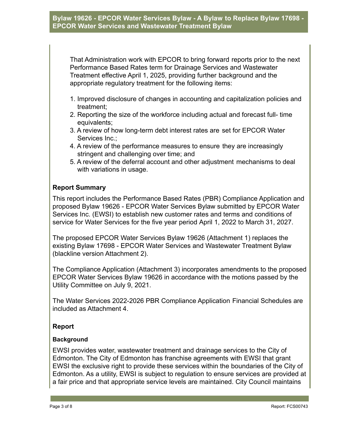That Administration work with EPCOR to bring forward reports prior to the next Performance Based Rates term for Drainage Services and Wastewater Treatment effective April 1, 2025, providing further background and the appropriate regulatory treatment for the following items:

- 1. Improved disclosure of changes in accounting and capitalization policies and treatment;
- 2. Reporting the size of the workforce including actual and forecast full- time equivalents;
- 3. A review of how long-term debt interest rates are set for EPCOR Water Services Inc.:
- 4. A review of the performance measures to ensure they are increasingly stringent and challenging over time; and
- 5. A review of the deferral account and other adjustment mechanisms to deal with variations in usage.

# **Report Summary**

This report includes the Performance Based Rates (PBR) Compliance Application and proposed Bylaw 19626 - EPCOR Water Services Bylaw submitted by EPCOR Water Services Inc. (EWSI) to establish new customer rates and terms and conditions of service for Water Services for the five year period April 1, 2022 to March 31, 2027.

The proposed EPCOR Water Services Bylaw 19626 (Attachment 1) replaces the existing Bylaw 17698 - EPCOR Water Services and Wastewater Treatment Bylaw (blackline version Attachment 2).

The Compliance Application (Attachment 3) incorporates amendments to the proposed EPCOR Water Services Bylaw 19626 in accordance with the motions passed by the Utility Committee on July 9, 2021.

The Water Services 2022-2026 PBR Compliance Application Financial Schedules are included as Attachment 4.

#### **Report**

#### **Background**

EWSI provides water, wastewater treatment and drainage services to the City of Edmonton. The City of Edmonton has franchise agreements with EWSI that grant EWSI the exclusive right to provide these services within the boundaries of the City of Edmonton. As a utility, EWSI is subject to regulation to ensure services are provided at a fair price and that appropriate service levels are maintained. City Council maintains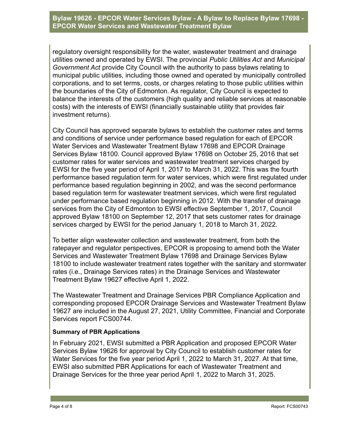regulatory oversight responsibility for the water, wastewater treatment and drainage utilities owned and operated by EWSI. The provincial *Public Utilities Act* and *Municipal Government Act* provide City Council with the authority to pass bylaws relating to municipal public utilities, including those owned and operated by municipally controlled corporations, and to set terms, costs, or charges relating to those public utilities within the boundaries of the City of Edmonton. As regulator, City Council is expected to balance the interests of the customers (high quality and reliable services at reasonable costs) with the interests of EWSI (financially sustainable utility that provides fair investment returns).

City Council has approved separate bylaws to establish the customer rates and terms and conditions of service under performance based regulation for each of EPCOR Water Services and Wastewater Treatment Bylaw 17698 and EPCOR Drainage Services Bylaw 18100. Council approved Bylaw 17698 on October 25, 2016 that set customer rates for water services and wastewater treatment services charged by EWSI for the five year period of April 1, 2017 to March 31, 2022. This was the fourth performance based regulation term for water services, which were first regulated under performance based regulation beginning in 2002, and was the second performance based regulation term for wastewater treatment services, which were first regulated under performance based regulation beginning in 2012. With the transfer of drainage services from the City of Edmonton to EWSI effective September 1, 2017, Council approved Bylaw 18100 on September 12, 2017 that sets customer rates for drainage services charged by EWSI for the period January 1, 2018 to March 31, 2022.

To better align wastewater collection and wastewater treatment, from both the ratepayer and regulator perspectives, EPCOR is proposing to amend both the Water Services and Wastewater Treatment Bylaw 17698 and Drainage Services Bylaw 18100 to include wastewater treatment rates together with the sanitary and stormwater rates (i.e., Drainage Services rates) in the Drainage Services and Wastewater Treatment Bylaw 19627 effective April 1, 2022.

The Wastewater Treatment and Drainage Services PBR Compliance Application and corresponding proposed EPCOR Drainage Services and Wastewater Treatment Bylaw 19627 are included in the August 27, 2021, Utility Committee, Financial and Corporate Services report FCS00744.

#### **Summary of PBR Applications**

In February 2021, EWSI submitted a PBR Application and proposed EPCOR Water Services Bylaw 19626 for approval by City Council to establish customer rates for Water Services for the five year period April 1, 2022 to March 31, 2027. At that time, EWSI also submitted PBR Applications for each of Wastewater Treatment and Drainage Services for the three year period April 1, 2022 to March 31, 2025.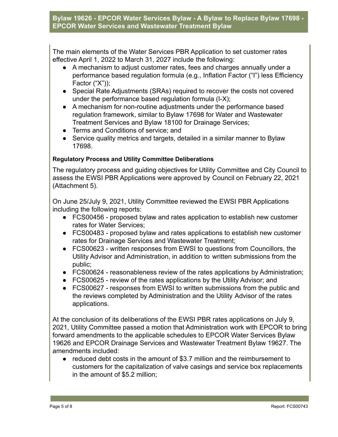The main elements of the Water Services PBR Application to set customer rates effective April 1, 2022 to March 31, 2027 include the following:

- A mechanism to adjust customer rates, fees and charges annually under a performance based regulation formula (e.g., Inflation Factor ("I") less Efficiency Factor ("X"));
- Special Rate Adjustments (SRAs) required to recover the costs not covered under the performance based regulation formula (I-X);
- A mechanism for non-routine adjustments under the performance based regulation framework, similar to Bylaw 17698 for Water and Wastewater Treatment Services and Bylaw 18100 for Drainage Services;
- Terms and Conditions of service; and
- Service quality metrics and targets, detailed in a similar manner to Bylaw 17698.

## **Regulatory Process and Utility Committee Deliberations**

The regulatory process and guiding objectives for Utility Committee and City Council to assess the EWSI PBR Applications were approved by Council on February 22, 2021 (Attachment 5).

On June 25/July 9, 2021, Utility Committee reviewed the EWSI PBR Applications including the following reports:

- FCS00456 proposed bylaw and rates application to establish new customer rates for Water Services;
- FCS00483 proposed bylaw and rates applications to establish new customer rates for Drainage Services and Wastewater Treatment;
- FCS00623 written responses from EWSI to questions from Councillors, the Utility Advisor and Administration, in addition to written submissions from the public;
- FCS00624 reasonableness review of the rates applications by Administration;
- FCS00625 review of the rates applications by the Utility Advisor; and
- FCS00627 responses from EWSI to written submissions from the public and the reviews completed by Administration and the Utility Advisor of the rates applications.

At the conclusion of its deliberations of the EWSI PBR rates applications on July 9, 2021, Utility Committee passed a motion that Administration work with EPCOR to bring forward amendments to the applicable schedules to EPCOR Water Services Bylaw 19626 and EPCOR Drainage Services and Wastewater Treatment Bylaw 19627. The amendments included:

● reduced debt costs in the amount of \$3.7 million and the reimbursement to customers for the capitalization of valve casings and service box replacements in the amount of \$5.2 million;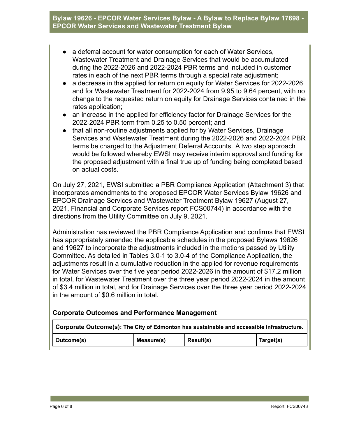- a deferral account for water consumption for each of Water Services, Wastewater Treatment and Drainage Services that would be accumulated during the 2022-2026 and 2022-2024 PBR terms and included in customer rates in each of the next PBR terms through a special rate adjustment;
- a decrease in the applied for return on equity for Water Services for 2022-2026 and for Wastewater Treatment for 2022-2024 from 9.95 to 9.64 percent, with no change to the requested return on equity for Drainage Services contained in the rates application;
- an increase in the applied for efficiency factor for Drainage Services for the 2022-2024 PBR term from 0.25 to 0.50 percent; and
- that all non-routine adjustments applied for by Water Services, Drainage Services and Wastewater Treatment during the 2022-2026 and 2022-2024 PBR terms be charged to the Adjustment Deferral Accounts. A two step approach would be followed whereby EWSI may receive interim approval and funding for the proposed adjustment with a final true up of funding being completed based on actual costs.

On July 27, 2021, EWSI submitted a PBR Compliance Application (Attachment 3) that incorporates amendments to the proposed EPCOR Water Services Bylaw 19626 and EPCOR Drainage Services and Wastewater Treatment Bylaw 19627 (August 27, 2021, Financial and Corporate Services report FCS00744) in accordance with the directions from the Utility Committee on July 9, 2021.

Administration has reviewed the PBR Compliance Application and confirms that EWSI has appropriately amended the applicable schedules in the proposed Bylaws 19626 and 19627 to incorporate the adjustments included in the motions passed by Utility Committee. As detailed in Tables 3.0-1 to 3.0-4 of the Compliance Application, the adjustments result in a cumulative reduction in the applied for revenue requirements for Water Services over the five year period 2022-2026 in the amount of \$17.2 million in total, for Wastewater Treatment over the three year period 2022-2024 in the amount of \$3.4 million in total, and for Drainage Services over the three year period 2022-2024 in the amount of \$0.6 million in total.

#### **Corporate Outcomes and Performance Management**

| $\mid$ Corporate Outcome(s): The City of Edmonton has sustainable and accessible infrastructure. |            |           |           |  |
|--------------------------------------------------------------------------------------------------|------------|-----------|-----------|--|
| Outcome(s)                                                                                       | Measure(s) | Result(s) | Target(s) |  |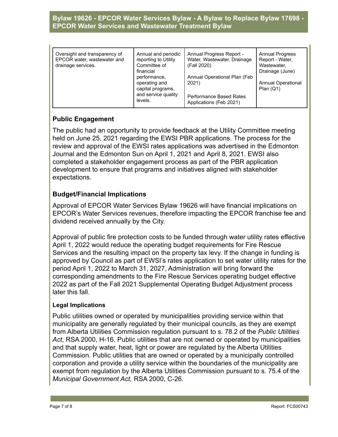| Annual and periodic<br>Oversight and transparency of<br>EPCOR water, wastewater and<br>reporting to Utility<br>Committee of<br>drainage services.<br>financial<br>performance,<br>operating and<br>capital programs,<br>and service quality<br>levels. | Annual Progress Report -<br>Water, Wastewater, Drainage<br>(Fall 2020)<br>Annual Operational Plan (Feb<br>2021)<br><b>Performance Based Rates</b><br>Applications (Feb 2021) | <b>Annual Progress</b><br>Report - Water,<br>Wastewater,<br>Drainage (June)<br><b>Annual Operational</b><br>Plan $(Q1)$ |
|--------------------------------------------------------------------------------------------------------------------------------------------------------------------------------------------------------------------------------------------------------|------------------------------------------------------------------------------------------------------------------------------------------------------------------------------|-------------------------------------------------------------------------------------------------------------------------|
|--------------------------------------------------------------------------------------------------------------------------------------------------------------------------------------------------------------------------------------------------------|------------------------------------------------------------------------------------------------------------------------------------------------------------------------------|-------------------------------------------------------------------------------------------------------------------------|

# **Public Engagement**

The public had an opportunity to provide feedback at the Utility Committee meeting held on June 25, 2021 regarding the EWSI PBR applications. The process for the review and approval of the EWSI rates applications was advertised in the Edmonton Journal and the Edmonton Sun on April 1, 2021 and April 8, 2021. EWSI also completed a stakeholder engagement process as part of the PBR application development to ensure that programs and initiatives aligned with stakeholder expectations.

#### **Budget/Financial Implications**

Approval of EPCOR Water Services Bylaw 19626 will have financial implications on EPCOR's Water Services revenues, therefore impacting the EPCOR franchise fee and dividend received annually by the City.

Approval of public fire protection costs to be funded through water utility rates effective April 1, 2022 would reduce the operating budget requirements for Fire Rescue Services and the resulting impact on the property tax levy. If the change in funding is approved by Council as part of EWSI's rates application to set water utility rates for the period April 1, 2022 to March 31, 2027, Administration will bring forward the corresponding amendments to the Fire Rescue Services operating budget effective 2022 as part of the Fall 2021 Supplemental Operating Budget Adjustment process later this fall.

#### **Legal Implications**

Public utilities owned or operated by municipalities providing service within that municipality are generally regulated by their municipal councils, as they are exempt from Alberta Utilities Commission regulation pursuant to s. 78.2 of the *Public Utilities Act*, RSA 2000, H-16. Public utilities that are not owned or operated by municipalities and that supply water, heat, light or power are regulated by the Alberta Utilities Commission. Public utilities that are owned or operated by a municipally controlled corporation and provide a utility service within the boundaries of the municipality are exempt from regulation by the Alberta Utilities Commission pursuant to s. 75.4 of the *Municipal Government Act,* RSA 2000, C-26.